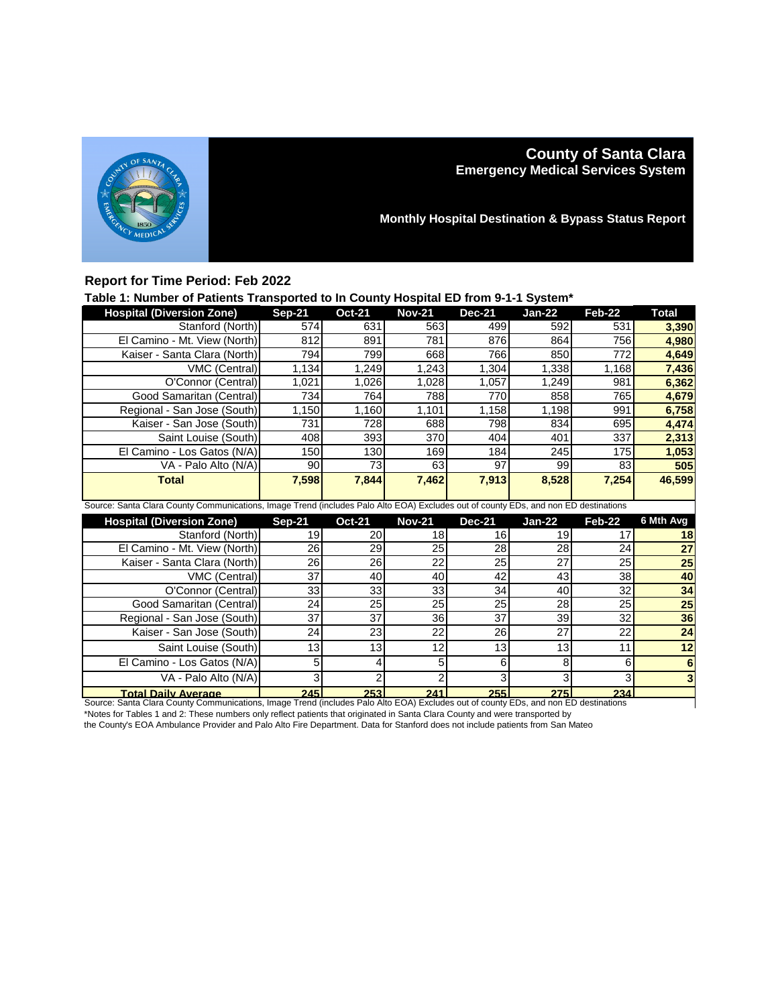

# **County of Santa Clara Emergency Medical Services System**

**Monthly Hospital Destination & Bypass Status Report**

## **Report for Time Period: Feb 2022**

### **Table 1: Number of Patients Transported to In County Hospital ED from 9-1-1 System\***

|                                                                                                                                     |               | . <i>.</i>      |               |               |               |               |                 |  |
|-------------------------------------------------------------------------------------------------------------------------------------|---------------|-----------------|---------------|---------------|---------------|---------------|-----------------|--|
| <b>Hospital (Diversion Zone)</b>                                                                                                    | <b>Sep-21</b> | <b>Oct-21</b>   | <b>Nov-21</b> | <b>Dec-21</b> | <b>Jan-22</b> | <b>Feb-22</b> | <b>Total</b>    |  |
| Stanford (North)                                                                                                                    | 574           | 631             | 563           | 499           | 592           | 531           | 3,390           |  |
| El Camino - Mt. View (North)                                                                                                        | 812           | 891             | 781           | 876           | 864           | 756           | 4,980           |  |
| Kaiser - Santa Clara (North)                                                                                                        | 794           | 799             | 668           | 766           | 850           | 772           | 4,649           |  |
| $\overline{V}$ MC (Central)                                                                                                         | 1,134         | 1,249           | 1,243         | 1,304         | 1,338         | 1,168         | 7,436           |  |
| O'Connor (Central)                                                                                                                  | 1,021         | 1,026           | 1,028         | 1,057         | 1,249         | 981           | 6,362           |  |
| Good Samaritan (Central)                                                                                                            | 734           | 764             | 788           | 770           | 858           | 765           | 4,679           |  |
| Regional - San Jose (South)                                                                                                         | 1,150         | 1,160           | 1,101         | 1,158         | 1,198         | 991           | 6,758           |  |
| Kaiser - San Jose (South)                                                                                                           | 731           | 728             | 688           | 798           | 834           | 695           | 4,474           |  |
| Saint Louise (South)                                                                                                                | 408           | 393             | 370           | 404           | 401           | 337           | 2,313           |  |
| El Camino - Los Gatos (N/A)                                                                                                         | 150           | 130             | 169           | 184           | 245           | 175           | 1,053           |  |
| VA - Palo Alto (N/A)                                                                                                                | 90            | 73              | 63            | 97            | 99            | 83            | 505             |  |
| <b>Total</b>                                                                                                                        | 7,598         | 7,844           | 7,462         | 7,913         | 8,528         | 7,254         | 46,599          |  |
|                                                                                                                                     |               |                 |               |               |               |               |                 |  |
| Source: Santa Clara County Communications, Image Trend (includes Palo Alto EOA) Excludes out of county EDs, and non ED destinations |               |                 |               |               |               |               |                 |  |
|                                                                                                                                     |               |                 |               |               |               |               |                 |  |
| <b>Hospital (Diversion Zone)</b>                                                                                                    | <b>Sep-21</b> | <b>Oct-21</b>   | <b>Nov-21</b> | <b>Dec-21</b> | <b>Jan-22</b> | Feb-22        | 6 Mth Avg       |  |
| Stanford (North)                                                                                                                    | 19            | 20              | 18            | 16            | 19            | 17            | 18              |  |
| El Camino - Mt. View (North)                                                                                                        | 26            | 29              | 25            | 28            | 28            | 24            | 27              |  |
| Kaiser - Santa Clara (North)                                                                                                        | 26            | $\overline{26}$ | 22            | 25            | 27            | 25            | 25              |  |
| VMC (Central)                                                                                                                       | 37            | 40              | 40            | 42            | 43            | 38            | 40              |  |
| O'Connor (Central)                                                                                                                  | 33            | 33              | 33            | 34            | 40            | 32            | 34              |  |
| Good Samaritan (Central)                                                                                                            | 24            | 25              | 25            | 25            | 28            | 25            | $\overline{25}$ |  |
| Regional - San Jose (South)                                                                                                         | 37            | 37              | 36            | 37            | 39            | 32            | 36              |  |
| Kaiser - San Jose (South)                                                                                                           | 24            | 23              | 22            | 26            | 27            | 22            | 24              |  |
| Saint Louise (South)                                                                                                                | 13            | 13              | 12            | 13            | 13            | 11            | 12              |  |
| El Camino - Los Gatos (N/A)                                                                                                         | 5             | 4               | 5             | 6             | 8             | 6             | $6\phantom{1}6$ |  |
| VA - Palo Alto (N/A)                                                                                                                | 3             | $\overline{2}$  | 2             | 3             | 3             | 3             | 3               |  |

**Total Daily Average 245 253 241 255 275 234** Source: Santa Clara County Communications, Image Trend (includes Palo Alto EOA) Excludes out of county EDs, and non ED destinations \*Notes for Tables 1 and 2: These numbers only reflect patients that originated in Santa Clara County and were transported by

the County's EOA Ambulance Provider and Palo Alto Fire Department. Data for Stanford does not include patients from San Mateo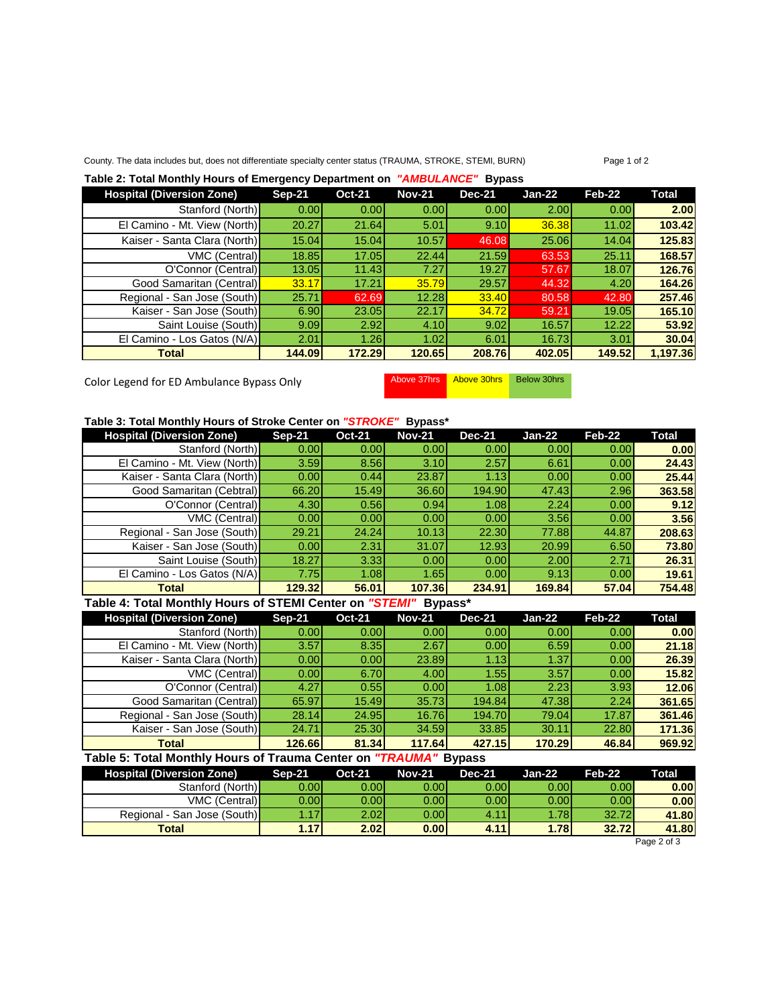## County. The data includes but, does not differentiate specialty center status (TRAUMA, STROKE, STEMI, BURN) Page 1 of 2

#### **Table 2: Total Monthly Hours of Emergency Department on** *"AMBULANCE"* **Bypass**

| <b>Hospital (Diversion Zone)</b> | $Sep-21$ | <b>Oct-21</b> | <b>Nov-21</b> | <b>Dec-21</b> | <b>Jan-22</b> | Feb-22 | Total    |
|----------------------------------|----------|---------------|---------------|---------------|---------------|--------|----------|
| Stanford (North)                 | 0.00     | 0.00          | 0.001         | 0.001         | 2.00          | 0.00   | 2.00     |
| El Camino - Mt. View (North)     | 20.27    | 21.64         | 5.01          | 9.10          | 36.38         | 11.02  | 103.42   |
| Kaiser - Santa Clara (North)     | 15.04    | 15.04         | 10.57         | 46.08         | 25.06         | 14.04  | 125.83   |
| VMC (Central)                    | 18.85    | 17.05         | 22.44         | 21.59         | 63.53         | 25.11  | 168.57   |
| O'Connor (Central)               | 13.05    | 11.43         | 7.27          | 19.27         | 57.67         | 18.07  | 126.76   |
| Good Samaritan (Central)         | 33.17    | 17.21         | 35.79         | 29.57         | 44.32         | 4.20   | 164.26   |
| Regional - San Jose (South)      | 25.71    | 62.69         | 12.28         | 33.40         | 80.58         | 42.80  | 257.46   |
| Kaiser - San Jose (South)        | 6.90     | 23.05         | 22.17         | 34.72         | 59.21         | 19.05  | 165.10   |
| Saint Louise (South)             | 9.09     | 2.92          | 4.10          | 9.02          | 16.57         | 12.22  | 53.92    |
| El Camino - Los Gatos (N/A)      | 2.01     | 1.26          | 1.02          | 6.01          | 16.73         | 3.01   | 30.04    |
| <b>Total</b>                     | 144.09   | 172.29        | 120.65        | 208.76        | 402.05        | 149.52 | 1,197.36 |

Color Legend for ED Ambulance Bypass Only Above 37hrs Above 30hrs Below 30hrs

### **Table 3: Total Monthly Hours of Stroke Center on** *"STROKE"* **Bypass\***

| <b>Hospital (Diversion Zone)</b> | $Sep-21$          | <b>Oct-21</b> | <b>Nov-21</b> | <b>Dec-21</b> | $Jan-22$ | Feb-22 | Total  |
|----------------------------------|-------------------|---------------|---------------|---------------|----------|--------|--------|
| Stanford (North)                 | 0.00              | 0.001         | 0.001         | 0.001         | 0.001    | 0.00   | 0.00   |
| El Camino - Mt. View (North)     | 3.59              | 8.56          | 3.10          | 2.57          | 6.61     | 0.00   | 24.43  |
| Kaiser - Santa Clara (North)     | 0.00              | 0.44          | 23.87         | 1.13          | 0.00     | 0.00   | 25.44  |
| Good Samaritan (Cebtral)         | 66.20             | 15.49         | 36.60         | 194.90        | 47.43    | 2.96   | 363.58 |
| O'Connor (Central)               | 4.30              | 0.56          | 0.94          | 1.08          | 2.24     | 0.00   | 9.12   |
| VMC (Central)                    | 0.00              | 0.00          | 0.00          | 0.00          | 3.56     | 0.00   | 3.56   |
| Regional - San Jose (South)      | 29.21             | 24.24         | 10.13         | 22.30         | 77.88    | 44.87  | 208.63 |
| Kaiser - San Jose (South)        | 0.00 <sub>l</sub> | 2.31          | 31.07         | 12.93         | 20.99    | 6.50   | 73.80  |
| Saint Louise (South)             | 18.27             | 3.33          | 0.00          | 0.00          | 2.00     | 2.71   | 26.31  |
| El Camino - Los Gatos (N/A)      | 7.75              | 1.08          | 1.65          | 0.001         | 9.13     | 0.00   | 19.61  |
| <b>Total</b>                     | 129.32            | 56.01         | 107.36        | 234.91        | 169.84   | 57.04  | 754.48 |

## **Table 4: Total Monthly Hours of STEMI Center on** *"STEMI"* **Bypass\***

| <b>Hospital (Diversion Zone)</b> | <b>Sep-21</b> | <b>Oct-21</b> | <b>Nov-21</b> | <b>Dec-21</b> | $Jan-22$ | Feb-22 | Total  |
|----------------------------------|---------------|---------------|---------------|---------------|----------|--------|--------|
| Stanford (North)                 | 0.00          | 0.00          | 0.00          | 0.00          | 0.00     | 0.00   | 0.00   |
| El Camino - Mt. View (North)     | 3.57          | 8.35          | 2.67          | 0.00          | 6.59     | 0.00   | 21.18  |
| Kaiser - Santa Clara (North)     | 0.00          | 0.00          | 23.89         | 1.13          | 1.37     | 0.00   | 26.39  |
| <b>VMC (Central)</b>             | 0.00          | 6.70          | 4.00          | 1.55          | 3.57     | 0.00   | 15.82  |
| O'Connor (Central)               | 4.27          | 0.55          | 0.001         | 1.08          | 2.23     | 3.93   | 12.06  |
| Good Samaritan (Central)         | 65.97         | 15.49         | 35.73         | 194.84        | 47.38    | 2.24   | 361.65 |
| Regional - San Jose (South)      | 28.14         | 24.95         | 16.76         | 194.70        | 79.04    | 17.87  | 361.46 |
| Kaiser - San Jose (South)        | 24.71         | 25.30         | 34.59         | 33.85         | 30.11    | 22.80  | 171.36 |
| Total                            | 126.66        | 81.34         | 117.64        | 427.15        | 170.29   | 46.84  | 969.92 |

#### **Table 5: Total Monthly Hours of Trauma Center on** *"TRAUMA"* **Bypass**

| <b>Hospital (Diversion Zone)</b> | Sep-21           | <b>Oct-21</b> | Nov-21 | <b>Dec-21</b> | Jan-22 | $Feb-22$ | Total |
|----------------------------------|------------------|---------------|--------|---------------|--------|----------|-------|
| Stanford (North)                 | 0.00             | 0.00l         | 0.00l  | 0.001         | 0.00   | 0.001    | 0.00  |
| <b>VMC (Central)</b>             | 0.00             | 0.001         | 0.001  | 0.001         | 0.001  | 0.00     | 0.00  |
| Regional - San Jose (South)      | .17 <sup>1</sup> | 2.02l         | 0.00l  | 4.11          | 1.781  | 32.72    | 41.80 |
| <b>Total</b>                     | 1.17             | 2.02          | 0.001  | 4.11          | 1.78   | 32.72    | 41.80 |

Page 2 of 3